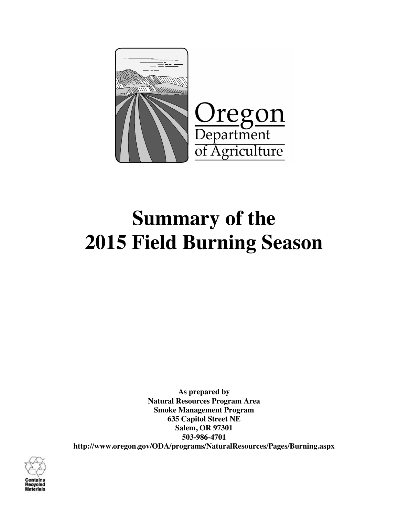

# **Summary of the 2015 Field Burning Season**

**As prepared by Natural Resources Program Area Smoke Management Program 635 Capitol Street NE Salem, OR 97301 503-986-4701 http://www.oregon.gov/ODA/programs/NaturalResources/Pages/Burning.aspx**

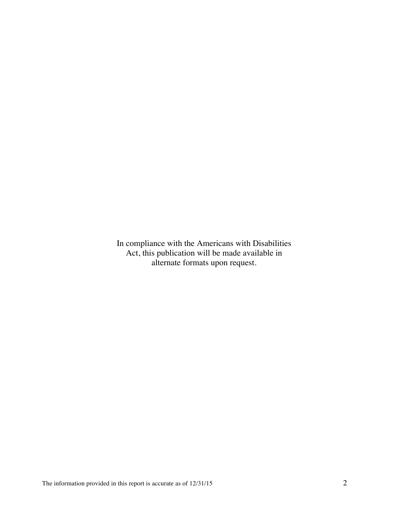In compliance with the Americans with Disabilities Act, this publication will be made available in alternate formats upon request.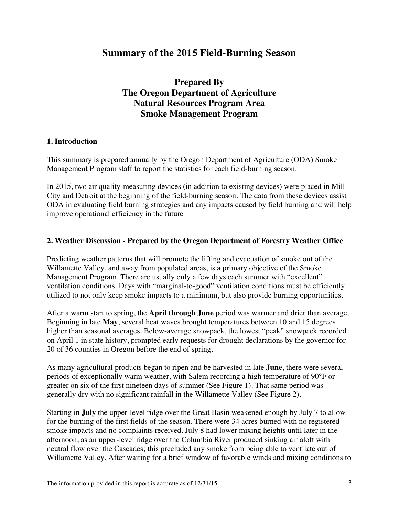# **Summary of the 2015 Field-Burning Season**

# **Prepared By The Oregon Department of Agriculture Natural Resources Program Area Smoke Management Program**

## **1. Introduction**

This summary is prepared annually by the Oregon Department of Agriculture (ODA) Smoke Management Program staff to report the statistics for each field-burning season.

In 2015, two air quality-measuring devices (in addition to existing devices) were placed in Mill City and Detroit at the beginning of the field-burning season. The data from these devices assist ODA in evaluating field burning strategies and any impacts caused by field burning and will help improve operational efficiency in the future

#### **2. Weather Discussion - Prepared by the Oregon Department of Forestry Weather Office**

Predicting weather patterns that will promote the lifting and evacuation of smoke out of the Willamette Valley, and away from populated areas, is a primary objective of the Smoke Management Program. There are usually only a few days each summer with "excellent" ventilation conditions. Days with "marginal-to-good" ventilation conditions must be efficiently utilized to not only keep smoke impacts to a minimum, but also provide burning opportunities.

After a warm start to spring, the **April through June** period was warmer and drier than average. Beginning in late **May**, several heat waves brought temperatures between 10 and 15 degrees higher than seasonal averages. Below-average snowpack, the lowest "peak" snowpack recorded on April 1 in state history, prompted early requests for drought declarations by the governor for 20 of 36 counties in Oregon before the end of spring.

As many agricultural products began to ripen and be harvested in late **June**, there were several periods of exceptionally warm weather, with Salem recording a high temperature of 90°F or greater on six of the first nineteen days of summer (See Figure 1). That same period was generally dry with no significant rainfall in the Willamette Valley (See Figure 2).

Starting in **July** the upper-level ridge over the Great Basin weakened enough by July 7 to allow for the burning of the first fields of the season. There were 34 acres burned with no registered smoke impacts and no complaints received. July 8 had lower mixing heights until later in the afternoon, as an upper-level ridge over the Columbia River produced sinking air aloft with neutral flow over the Cascades; this precluded any smoke from being able to ventilate out of Willamette Valley. After waiting for a brief window of favorable winds and mixing conditions to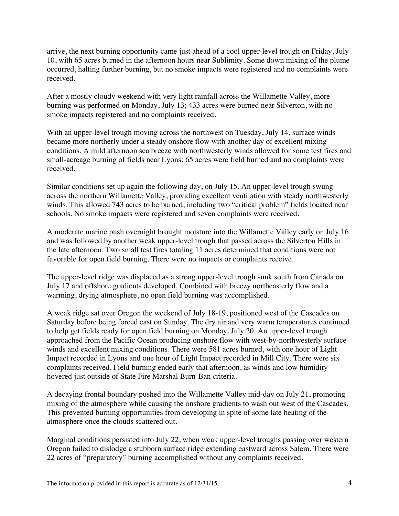arrive, the next burning opportunity came just ahead of a cool upper-level trough on Friday, July 10, with 65 acres burned in the afternoon hours near Sublimity. Some down mixing of the plume occurred, halting further burning, but no smoke impacts were registered and no complaints were received.

After a mostly cloudy weekend with very light rainfall across the Willamette Valley, more burning was performed on Monday, July 13; 433 acres were burned near Silverton, with no smoke impacts registered and no complaints received.

With an upper-level trough moving across the northwest on Tuesday, July 14, surface winds became more northerly under a steady onshore flow with another day of excellent mixing conditions. A mild afternoon sea breeze with northwesterly winds allowed for some test fires and small-acreage burning of fields near Lyons; 65 acres were field burned and no complaints were received.

Similar conditions set up again the following day, on July 15. An upper-level trough swung across the northern Willamette Valley, providing excellent ventilation with steady northwesterly winds. This allowed 743 acres to be burned, including two "critical problem" fields located near schools. No smoke impacts were registered and seven complaints were received.

A moderate marine push overnight brought moisture into the Willamette Valley early on July 16 and was followed by another weak upper-level trough that passed across the Silverton Hills in the late afternoon. Two small test fires totaling 11 acres determined that conditions were not favorable for open field burning. There were no impacts or complaints receive.

The upper-level ridge was displaced as a strong upper-level trough sunk south from Canada on July 17 and offshore gradients developed. Combined with breezy northeasterly flow and a warming, drying atmosphere, no open field burning was accomplished.

A weak ridge sat over Oregon the weekend of July 18-19, positioned west of the Cascades on Saturday before being forced east on Sunday. The dry air and very warm temperatures continued to help get fields ready for open field burning on Monday, July 20. An upper-level trough approached from the Pacific Ocean producing onshore flow with west-by-northwesterly surface winds and excellent mixing conditions. There were 581 acres burned, with one hour of Light Impact recorded in Lyons and one hour of Light Impact recorded in Mill City. There were six complaints received. Field burning ended early that afternoon, as winds and low humidity hovered just outside of State Fire Marshal Burn-Ban criteria.

A decaying frontal boundary pushed into the Willamette Valley mid-day on July 21, promoting mixing of the atmosphere while causing the onshore gradients to wash out west of the Cascades. This prevented burning opportunities from developing in spite of some late heating of the atmosphere once the clouds scattered out.

Marginal conditions persisted into July 22, when weak upper-level troughs passing over western Oregon failed to dislodge a stubborn surface ridge extending eastward across Salem. There were 22 acres of "preparatory" burning accomplished without any complaints received.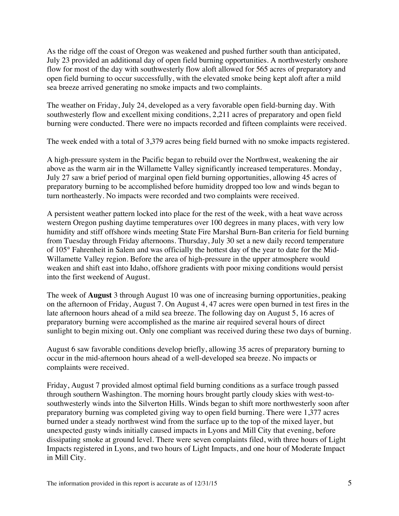As the ridge off the coast of Oregon was weakened and pushed further south than anticipated, July 23 provided an additional day of open field burning opportunities. A northwesterly onshore flow for most of the day with southwesterly flow aloft allowed for 565 acres of preparatory and open field burning to occur successfully, with the elevated smoke being kept aloft after a mild sea breeze arrived generating no smoke impacts and two complaints.

The weather on Friday, July 24, developed as a very favorable open field-burning day. With southwesterly flow and excellent mixing conditions, 2,211 acres of preparatory and open field burning were conducted. There were no impacts recorded and fifteen complaints were received.

The week ended with a total of 3,379 acres being field burned with no smoke impacts registered.

A high-pressure system in the Pacific began to rebuild over the Northwest, weakening the air above as the warm air in the Willamette Valley significantly increased temperatures. Monday, July 27 saw a brief period of marginal open field burning opportunities, allowing 45 acres of preparatory burning to be accomplished before humidity dropped too low and winds began to turn northeasterly. No impacts were recorded and two complaints were received.

A persistent weather pattern locked into place for the rest of the week, with a heat wave across western Oregon pushing daytime temperatures over 100 degrees in many places, with very low humidity and stiff offshore winds meeting State Fire Marshal Burn-Ban criteria for field burning from Tuesday through Friday afternoons. Thursday, July 30 set a new daily record temperature of 105° Fahrenheit in Salem and was officially the hottest day of the year to date for the Mid-Willamette Valley region. Before the area of high-pressure in the upper atmosphere would weaken and shift east into Idaho, offshore gradients with poor mixing conditions would persist into the first weekend of August.

The week of **August** 3 through August 10 was one of increasing burning opportunities, peaking on the afternoon of Friday, August 7. On August 4, 47 acres were open burned in test fires in the late afternoon hours ahead of a mild sea breeze. The following day on August 5, 16 acres of preparatory burning were accomplished as the marine air required several hours of direct sunlight to begin mixing out. Only one compliant was received during these two days of burning.

August 6 saw favorable conditions develop briefly, allowing 35 acres of preparatory burning to occur in the mid-afternoon hours ahead of a well-developed sea breeze. No impacts or complaints were received.

Friday, August 7 provided almost optimal field burning conditions as a surface trough passed through southern Washington. The morning hours brought partly cloudy skies with west-tosouthwesterly winds into the Silverton Hills. Winds began to shift more northwesterly soon after preparatory burning was completed giving way to open field burning. There were 1,377 acres burned under a steady northwest wind from the surface up to the top of the mixed layer, but unexpected gusty winds initially caused impacts in Lyons and Mill City that evening, before dissipating smoke at ground level. There were seven complaints filed, with three hours of Light Impacts registered in Lyons, and two hours of Light Impacts, and one hour of Moderate Impact in Mill City.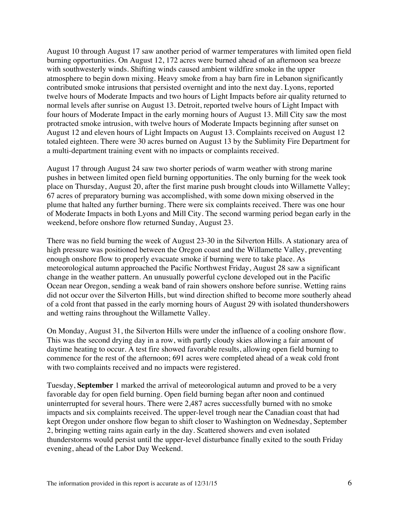August 10 through August 17 saw another period of warmer temperatures with limited open field burning opportunities. On August 12, 172 acres were burned ahead of an afternoon sea breeze with southwesterly winds. Shifting winds caused ambient wildfire smoke in the upper atmosphere to begin down mixing. Heavy smoke from a hay barn fire in Lebanon significantly contributed smoke intrusions that persisted overnight and into the next day. Lyons, reported twelve hours of Moderate Impacts and two hours of Light Impacts before air quality returned to normal levels after sunrise on August 13. Detroit, reported twelve hours of Light Impact with four hours of Moderate Impact in the early morning hours of August 13. Mill City saw the most protracted smoke intrusion, with twelve hours of Moderate Impacts beginning after sunset on August 12 and eleven hours of Light Impacts on August 13. Complaints received on August 12 totaled eighteen. There were 30 acres burned on August 13 by the Sublimity Fire Department for a multi-department training event with no impacts or complaints received.

August 17 through August 24 saw two shorter periods of warm weather with strong marine pushes in between limited open field burning opportunities. The only burning for the week took place on Thursday, August 20, after the first marine push brought clouds into Willamette Valley; 67 acres of preparatory burning was accomplished, with some down mixing observed in the plume that halted any further burning. There were six complaints received. There was one hour of Moderate Impacts in both Lyons and Mill City. The second warming period began early in the weekend, before onshore flow returned Sunday, August 23.

There was no field burning the week of August 23-30 in the Silverton Hills. A stationary area of high pressure was positioned between the Oregon coast and the Willamette Valley, preventing enough onshore flow to properly evacuate smoke if burning were to take place. As meteorological autumn approached the Pacific Northwest Friday, August 28 saw a significant change in the weather pattern. An unusually powerful cyclone developed out in the Pacific Ocean near Oregon, sending a weak band of rain showers onshore before sunrise. Wetting rains did not occur over the Silverton Hills, but wind direction shifted to become more southerly ahead of a cold front that passed in the early morning hours of August 29 with isolated thundershowers and wetting rains throughout the Willamette Valley.

On Monday, August 31, the Silverton Hills were under the influence of a cooling onshore flow. This was the second drying day in a row, with partly cloudy skies allowing a fair amount of daytime heating to occur. A test fire showed favorable results, allowing open field burning to commence for the rest of the afternoon; 691 acres were completed ahead of a weak cold front with two complaints received and no impacts were registered.

Tuesday, **September** 1 marked the arrival of meteorological autumn and proved to be a very favorable day for open field burning. Open field burning began after noon and continued uninterrupted for several hours. There were 2,487 acres successfully burned with no smoke impacts and six complaints received. The upper-level trough near the Canadian coast that had kept Oregon under onshore flow began to shift closer to Washington on Wednesday, September 2, bringing wetting rains again early in the day. Scattered showers and even isolated thunderstorms would persist until the upper-level disturbance finally exited to the south Friday evening, ahead of the Labor Day Weekend.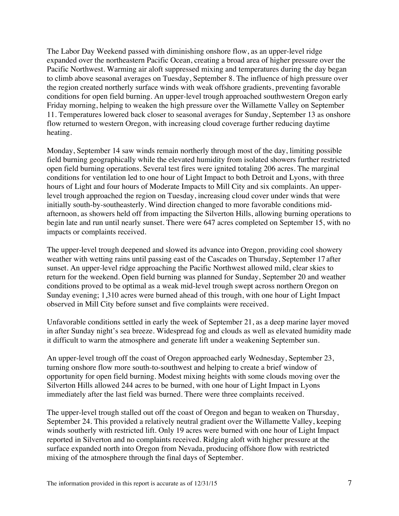The Labor Day Weekend passed with diminishing onshore flow, as an upper-level ridge expanded over the northeastern Pacific Ocean, creating a broad area of higher pressure over the Pacific Northwest. Warming air aloft suppressed mixing and temperatures during the day began to climb above seasonal averages on Tuesday, September 8. The influence of high pressure over the region created northerly surface winds with weak offshore gradients, preventing favorable conditions for open field burning. An upper-level trough approached southwestern Oregon early Friday morning, helping to weaken the high pressure over the Willamette Valley on September 11. Temperatures lowered back closer to seasonal averages for Sunday, September 13 as onshore flow returned to western Oregon, with increasing cloud coverage further reducing daytime heating.

Monday, September 14 saw winds remain northerly through most of the day, limiting possible field burning geographically while the elevated humidity from isolated showers further restricted open field burning operations. Several test fires were ignited totaling 206 acres. The marginal conditions for ventilation led to one hour of Light Impact to both Detroit and Lyons, with three hours of Light and four hours of Moderate Impacts to Mill City and six complaints. An upperlevel trough approached the region on Tuesday, increasing cloud cover under winds that were initially south-by-southeasterly. Wind direction changed to more favorable conditions midafternoon, as showers held off from impacting the Silverton Hills, allowing burning operations to begin late and run until nearly sunset. There were 647 acres completed on September 15, with no impacts or complaints received.

The upper-level trough deepened and slowed its advance into Oregon, providing cool showery weather with wetting rains until passing east of the Cascades on Thursday, September 17 after sunset. An upper-level ridge approaching the Pacific Northwest allowed mild, clear skies to return for the weekend. Open field burning was planned for Sunday, September 20 and weather conditions proved to be optimal as a weak mid-level trough swept across northern Oregon on Sunday evening; 1,310 acres were burned ahead of this trough, with one hour of Light Impact observed in Mill City before sunset and five complaints were received.

Unfavorable conditions settled in early the week of September 21, as a deep marine layer moved in after Sunday night's sea breeze. Widespread fog and clouds as well as elevated humidity made it difficult to warm the atmosphere and generate lift under a weakening September sun.

An upper-level trough off the coast of Oregon approached early Wednesday, September 23, turning onshore flow more south-to-southwest and helping to create a brief window of opportunity for open field burning. Modest mixing heights with some clouds moving over the Silverton Hills allowed 244 acres to be burned, with one hour of Light Impact in Lyons immediately after the last field was burned. There were three complaints received.

The upper-level trough stalled out off the coast of Oregon and began to weaken on Thursday, September 24. This provided a relatively neutral gradient over the Willamette Valley, keeping winds southerly with restricted lift. Only 19 acres were burned with one hour of Light Impact reported in Silverton and no complaints received. Ridging aloft with higher pressure at the surface expanded north into Oregon from Nevada, producing offshore flow with restricted mixing of the atmosphere through the final days of September.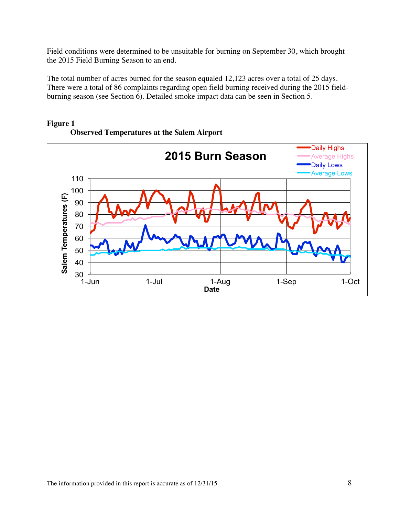Field conditions were determined to be unsuitable for burning on September 30, which brought the 2015 Field Burning Season to an end.

The total number of acres burned for the season equaled 12,123 acres over a total of 25 days. There were a total of 86 complaints regarding open field burning received during the 2015 fieldburning season (see Section 6). Detailed smoke impact data can be seen in Section 5.



## **Figure 1 Observed Temperatures at the Salem Airport**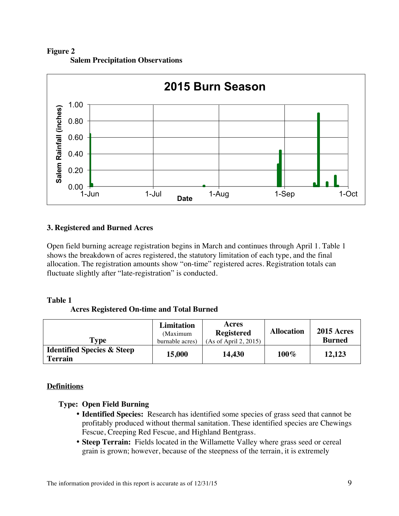**Figure 2 Salem Precipitation Observations**



## **3. Registered and Burned Acres**

Open field burning acreage registration begins in March and continues through April 1. Table 1 shows the breakdown of acres registered, the statutory limitation of each type, and the final allocation. The registration amounts show "on-time" registered acres. Registration totals can fluctuate slightly after "late-registration" is conducted.

#### **Table 1**

**Acres Registered On-time and Total Burned**

| Type                                                    | Limitation<br>(Maximum<br>burnable acres) | Acres<br><b>Registered</b><br>(As of April 2, 2015) | <b>Allocation</b> | <b>2015 Acres</b><br><b>Burned</b> |
|---------------------------------------------------------|-------------------------------------------|-----------------------------------------------------|-------------------|------------------------------------|
| <b>Identified Species &amp; Steep</b><br><b>Terrain</b> | 15,000                                    | 14,430                                              | $100\%$           | 12,123                             |

# **Definitions**

# **Type: Open Field Burning**

- **Identified Species:** Research has identified some species of grass seed that cannot be profitably produced without thermal sanitation. These identified species are Chewings Fescue, Creeping Red Fescue, and Highland Bentgrass.
- **Steep Terrain:** Fields located in the Willamette Valley where grass seed or cereal grain is grown; however, because of the steepness of the terrain, it is extremely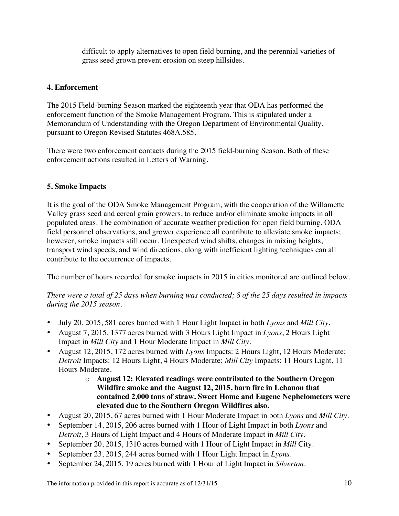difficult to apply alternatives to open field burning, and the perennial varieties of grass seed grown prevent erosion on steep hillsides.

# **4. Enforcement**

The 2015 Field-burning Season marked the eighteenth year that ODA has performed the enforcement function of the Smoke Management Program. This is stipulated under a Memorandum of Understanding with the Oregon Department of Environmental Quality, pursuant to Oregon Revised Statutes 468A.585.

There were two enforcement contacts during the 2015 field-burning Season. Both of these enforcement actions resulted in Letters of Warning.

# **5. Smoke Impacts**

It is the goal of the ODA Smoke Management Program, with the cooperation of the Willamette Valley grass seed and cereal grain growers, to reduce and/or eliminate smoke impacts in all populated areas. The combination of accurate weather prediction for open field burning, ODA field personnel observations, and grower experience all contribute to alleviate smoke impacts; however, smoke impacts still occur. Unexpected wind shifts, changes in mixing heights, transport wind speeds, and wind directions, along with inefficient lighting techniques can all contribute to the occurrence of impacts.

The number of hours recorded for smoke impacts in 2015 in cities monitored are outlined below.

*There were a total of 25 days when burning was conducted; 8 of the 25 days resulted in impacts during the 2015 season.*

- July 20, 2015, 581 acres burned with 1 Hour Light Impact in both *Lyons* and *Mill City*.
- August 7, 2015, 1377 acres burned with 3 Hours Light Impact in *Lyons*, 2 Hours Light Impact in *Mill City* and 1 Hour Moderate Impact in *Mill City*.
- August 12, 2015, 172 acres burned with *Lyons* Impacts: 2 Hours Light, 12 Hours Moderate; *Detroit* Impacts: 12 Hours Light, 4 Hours Moderate; *Mill City* Impacts: 11 Hours Light, 11 Hours Moderate.
	- o **August 12: Elevated readings were contributed to the Southern Oregon Wildfire smoke and the August 12, 2015, barn fire in Lebanon that contained 2,000 tons of straw. Sweet Home and Eugene Nephelometers were elevated due to the Southern Oregon Wildfires also.**
- August 20, 2015, 67 acres burned with 1 Hour Moderate Impact in both *Lyons* and *Mill City*.
- September 14, 2015, 206 acres burned with 1 Hour of Light Impact in both *Lyons* and *Detroit*, 3 Hours of Light Impact and 4 Hours of Moderate Impact in *Mill City*.
- September 20, 2015, 1310 acres burned with 1 Hour of Light Impact in *Mill* City.
- September 23, 2015, 244 acres burned with 1 Hour Light Impact in *Lyons*.
- September 24, 2015, 19 acres burned with 1 Hour of Light Impact in *Silverton*.